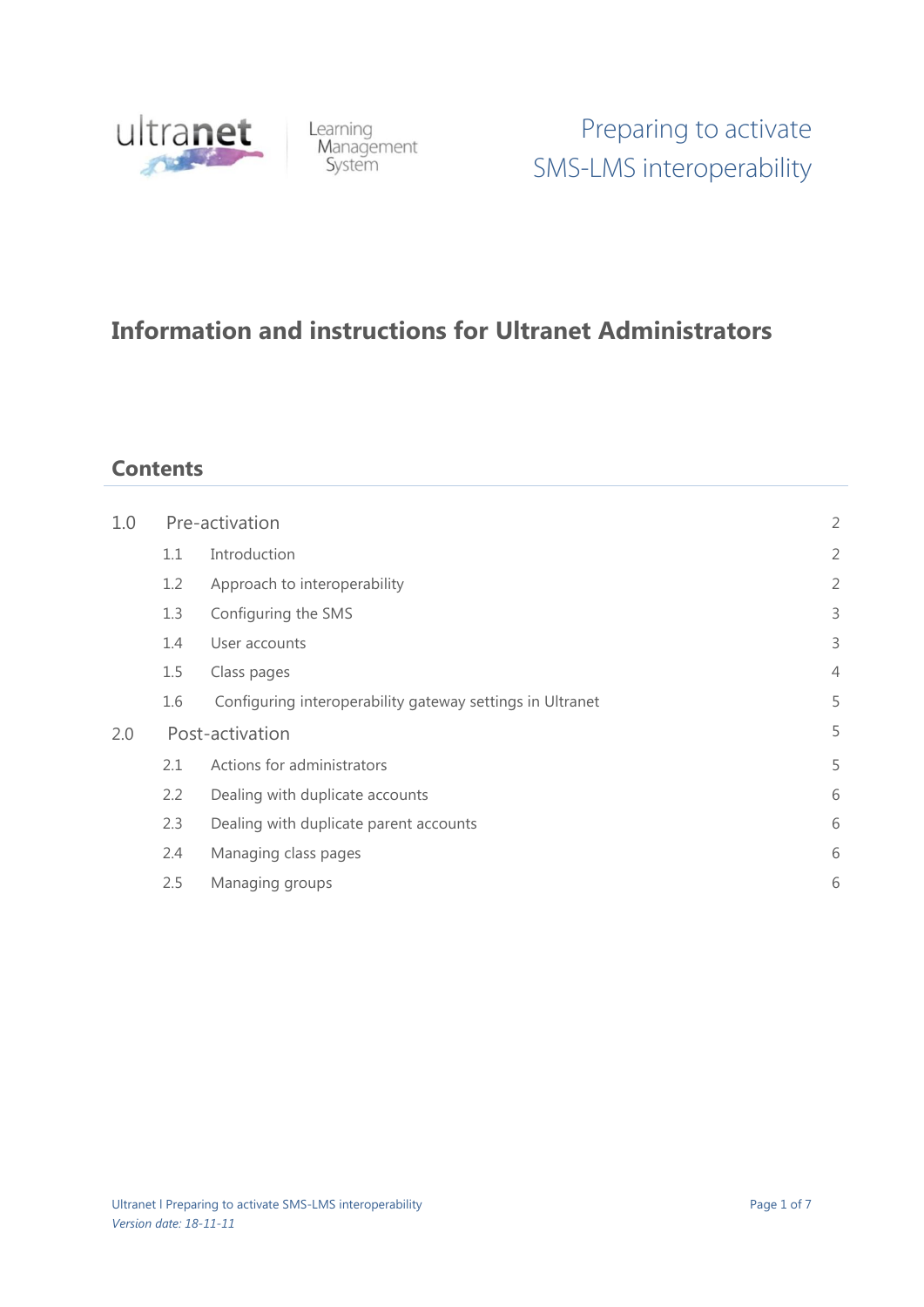

Learning<br>Management<br>System

# **Information and instructions for Ultranet Administrators**

# **Contents**

| 1.0 | Pre-activation  |                                                           | $\overline{2}$ |
|-----|-----------------|-----------------------------------------------------------|----------------|
|     | 1.1             | Introduction                                              | $\overline{2}$ |
|     | 1.2             | Approach to interoperability                              | $\overline{2}$ |
|     | 1.3             | Configuring the SMS                                       | 3              |
|     | 1.4             | User accounts                                             | 3              |
|     | 1.5             | Class pages                                               | $\overline{4}$ |
|     | 1.6             | Configuring interoperability gateway settings in Ultranet | 5              |
| 2.0 | Post-activation |                                                           | 5              |
|     | 2.1             | Actions for administrators                                | 5              |
|     | 2.2             | Dealing with duplicate accounts                           | 6              |
|     | 2.3             | Dealing with duplicate parent accounts                    | 6              |
|     | 2.4             | Managing class pages                                      | 6              |
|     | 2.5             | Managing groups                                           | 6              |
|     |                 |                                                           |                |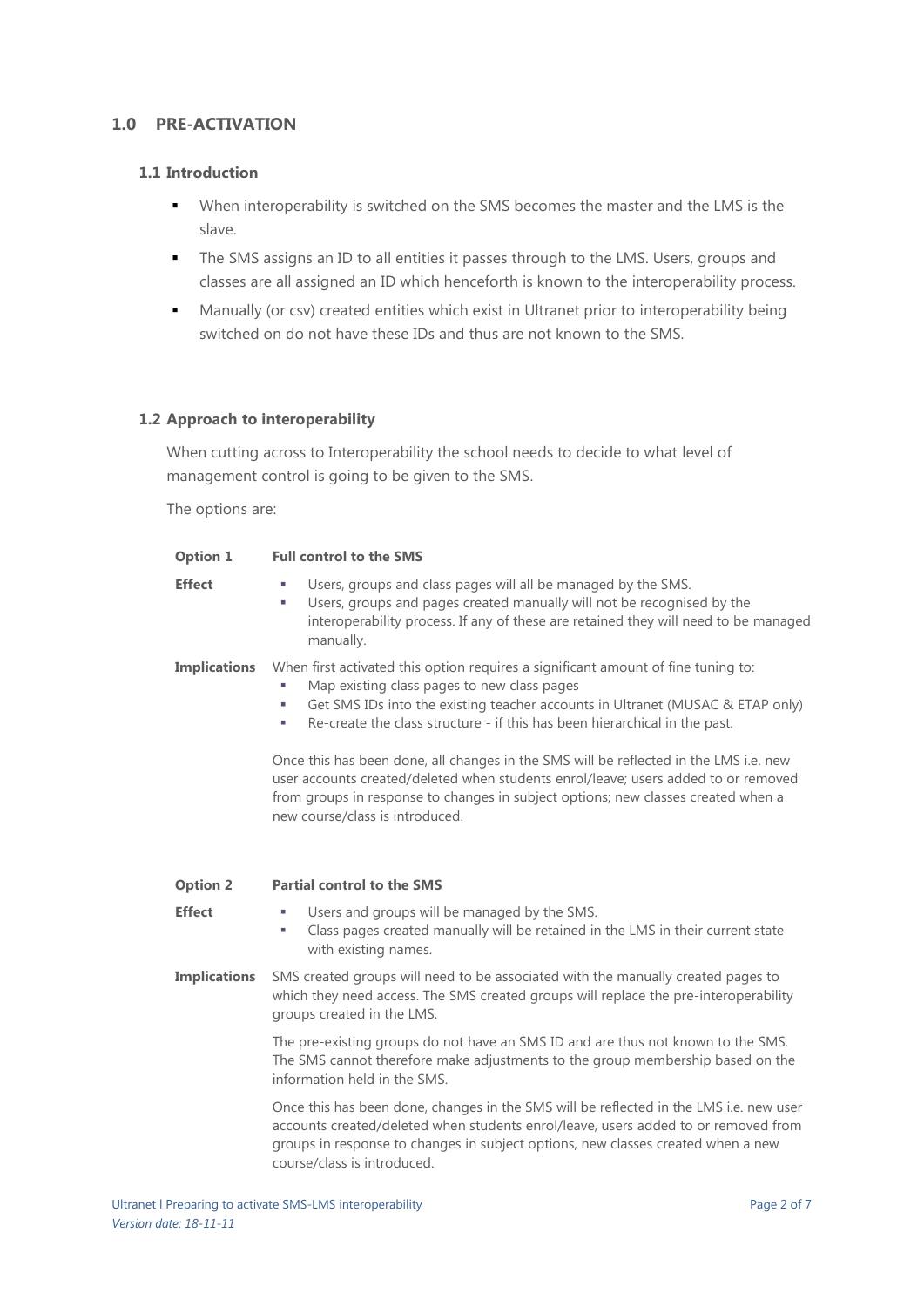# **1.0 PRE-ACTIVATION**

#### **1.1 Introduction**

- When interoperability is switched on the SMS becomes the master and the LMS is the slave.
- The SMS assigns an ID to all entities it passes through to the LMS. Users, groups and classes are all assigned an ID which henceforth is known to the interoperability process.
- Manually (or csv) created entities which exist in Ultranet prior to interoperability being switched on do not have these IDs and thus are not known to the SMS.

#### **1.2 Approach to interoperability**

When cutting across to Interoperability the school needs to decide to what level of management control is going to be given to the SMS.

The options are:

| Option 1            | <b>Full control to the SMS</b>                                                                                                                                                                                                                                                                                    |
|---------------------|-------------------------------------------------------------------------------------------------------------------------------------------------------------------------------------------------------------------------------------------------------------------------------------------------------------------|
| <b>Effect</b>       | Users, groups and class pages will all be managed by the SMS.<br>×.<br>Users, groups and pages created manually will not be recognised by the<br>×<br>interoperability process. If any of these are retained they will need to be managed<br>manually.                                                            |
| <b>Implications</b> | When first activated this option requires a significant amount of fine tuning to:<br>Map existing class pages to new class pages<br>T,<br>Get SMS IDs into the existing teacher accounts in Ultranet (MUSAC & ETAP only)<br>u,<br>Re-create the class structure - if this has been hierarchical in the past.<br>× |
|                     | Once this has been done, all changes in the SMS will be reflected in the LMS i.e. new<br>user accounts created/deleted when students enrol/leave; users added to or removed<br>from groups in response to changes in subject options; new classes created when a<br>new course/class is introduced.               |
| <b>Option 2</b>     | <b>Partial control to the SMS</b>                                                                                                                                                                                                                                                                                 |
| <b>Effect</b>       | Users and groups will be managed by the SMS.<br>п<br>Class pages created manually will be retained in the LMS in their current state<br>×<br>with existing names.                                                                                                                                                 |
| <b>Implications</b> | SMS created groups will need to be associated with the manually created pages to<br>which they need access. The SMS created groups will replace the pre-interoperability<br>groups created in the LMS.                                                                                                            |
|                     | The pre-existing groups do not have an SMS ID and are thus not known to the SMS.<br>The SMS cannot therefore make adjustments to the group membership based on the<br>information held in the SMS.                                                                                                                |
|                     | Once this has been done, changes in the SMS will be reflected in the LMS i.e. new user<br>accounts created/deleted when students enrol/leave, users added to or removed from                                                                                                                                      |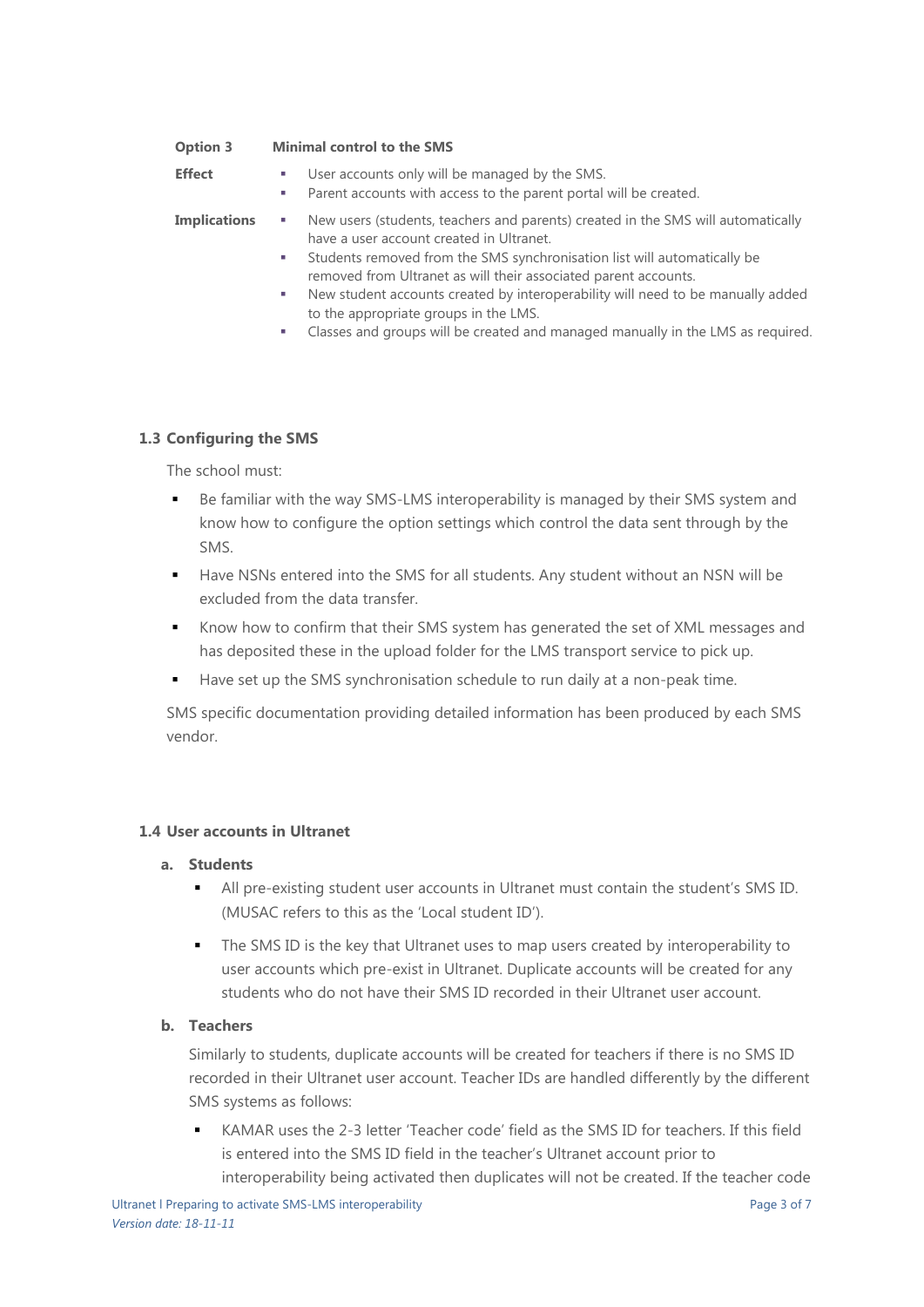| <b>Option 3</b>     | <b>Minimal control to the SMS</b>                                                                                                                                                                                                                                                                                                                                                                                    |
|---------------------|----------------------------------------------------------------------------------------------------------------------------------------------------------------------------------------------------------------------------------------------------------------------------------------------------------------------------------------------------------------------------------------------------------------------|
| <b>Effect</b>       | User accounts only will be managed by the SMS.<br>a.<br>Parent accounts with access to the parent portal will be created.<br>T.                                                                                                                                                                                                                                                                                      |
| <b>Implications</b> | New users (students, teachers and parents) created in the SMS will automatically<br>have a user account created in Ultranet.<br>Students removed from the SMS synchronisation list will automatically be<br>a s<br>removed from Ultranet as will their associated parent accounts.<br>New student accounts created by interoperability will need to be manually added<br>a.<br>to the appropriate groups in the LMS. |

Classes and groups will be created and managed manually in the LMS as required.

#### **1.3 Configuring the SMS**

The school must:

- Be familiar with the way SMS-LMS interoperability is managed by their SMS system and know how to configure the option settings which control the data sent through by the SMS.
- Have NSNs entered into the SMS for all students. Any student without an NSN will be excluded from the data transfer.
- Know how to confirm that their SMS system has generated the set of XML messages and has deposited these in the upload folder for the LMS transport service to pick up.
- Have set up the SMS synchronisation schedule to run daily at a non-peak time.

SMS specific documentation providing detailed information has been produced by each SMS vendor.

# **1.4 User accounts in Ultranet**

#### **a. Students**

- All pre-existing student user accounts in Ultranet must contain the student's SMS ID. (MUSAC refers to this as the 'Local student ID').
- The SMS ID is the key that Ultranet uses to map users created by interoperability to user accounts which pre-exist in Ultranet. Duplicate accounts will be created for any students who do not have their SMS ID recorded in their Ultranet user account.

#### **b. Teachers**

Similarly to students, duplicate accounts will be created for teachers if there is no SMS ID recorded in their Ultranet user account. Teacher IDs are handled differently by the different SMS systems as follows:

 KAMAR uses the 2-3 letter 'Teacher code' field as the SMS ID for teachers. If this field is entered into the SMS ID field in the teacher's Ultranet account prior to interoperability being activated then duplicates will not be created. If the teacher code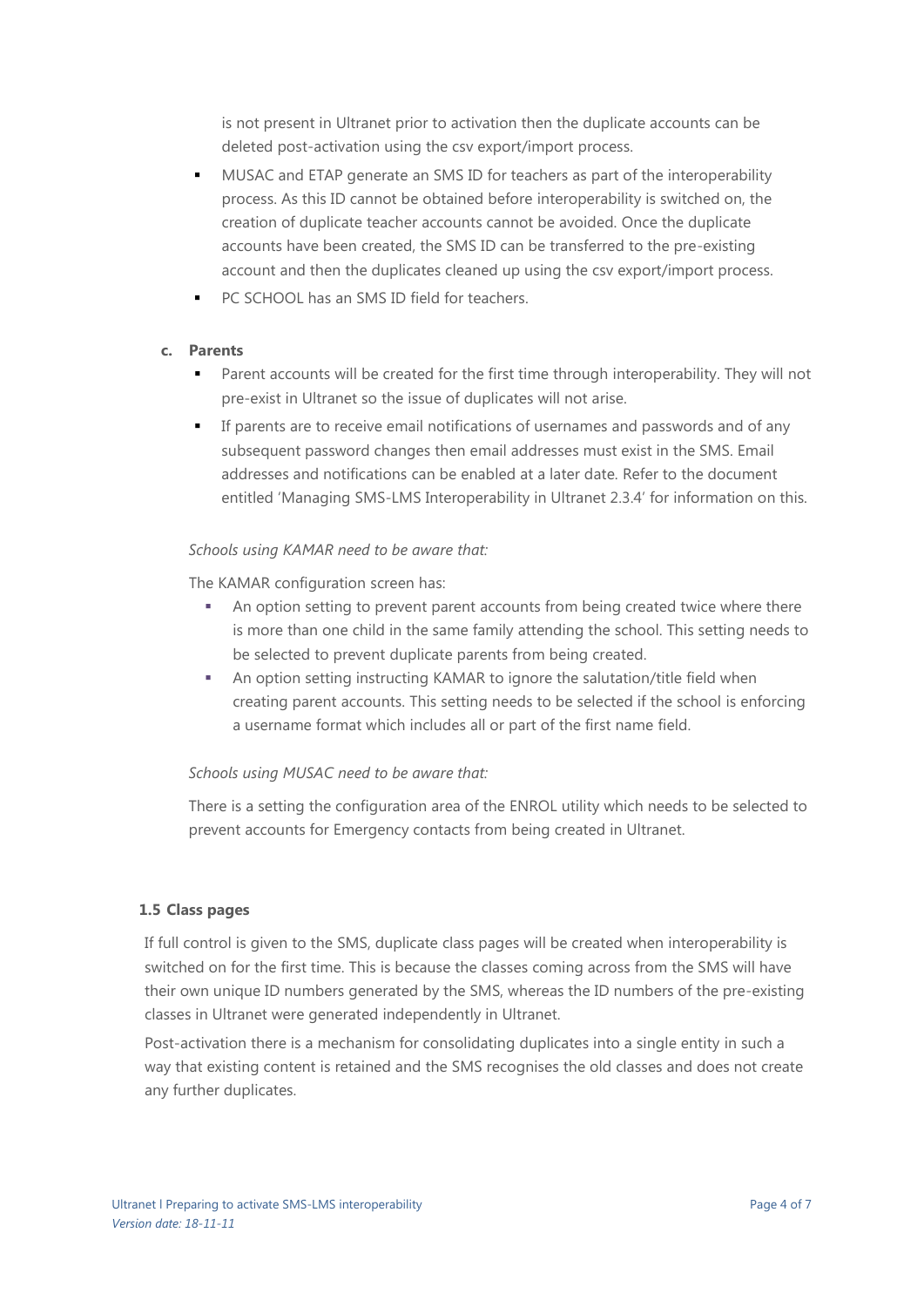is not present in Ultranet prior to activation then the duplicate accounts can be deleted post-activation using the csv export/import process.

- MUSAC and ETAP generate an SMS ID for teachers as part of the interoperability process. As this ID cannot be obtained before interoperability is switched on, the creation of duplicate teacher accounts cannot be avoided. Once the duplicate accounts have been created, the SMS ID can be transferred to the pre-existing account and then the duplicates cleaned up using the csv export/import process.
- PC SCHOOL has an SMS ID field for teachers.

#### **c. Parents**

- Parent accounts will be created for the first time through interoperability. They will not pre-exist in Ultranet so the issue of duplicates will not arise.
- If parents are to receive email notifications of usernames and passwords and of any subsequent password changes then email addresses must exist in the SMS. Email addresses and notifications can be enabled at a later date. Refer to the document entitled 'Managing SMS-LMS Interoperability in Ultranet 2.3.4' for information on this.

#### *Schools using KAMAR need to be aware that:*

The KAMAR configuration screen has:

- An option setting to prevent parent accounts from being created twice where there is more than one child in the same family attending the school. This setting needs to be selected to prevent duplicate parents from being created.
- An option setting instructing KAMAR to ignore the salutation/title field when creating parent accounts. This setting needs to be selected if the school is enforcing a username format which includes all or part of the first name field.

#### *Schools using MUSAC need to be aware that:*

There is a setting the configuration area of the ENROL utility which needs to be selected to prevent accounts for Emergency contacts from being created in Ultranet.

#### **1.5 Class pages**

If full control is given to the SMS, duplicate class pages will be created when interoperability is switched on for the first time. This is because the classes coming across from the SMS will have their own unique ID numbers generated by the SMS, whereas the ID numbers of the pre-existing classes in Ultranet were generated independently in Ultranet.

Post-activation there is a mechanism for consolidating duplicates into a single entity in such a way that existing content is retained and the SMS recognises the old classes and does not create any further duplicates.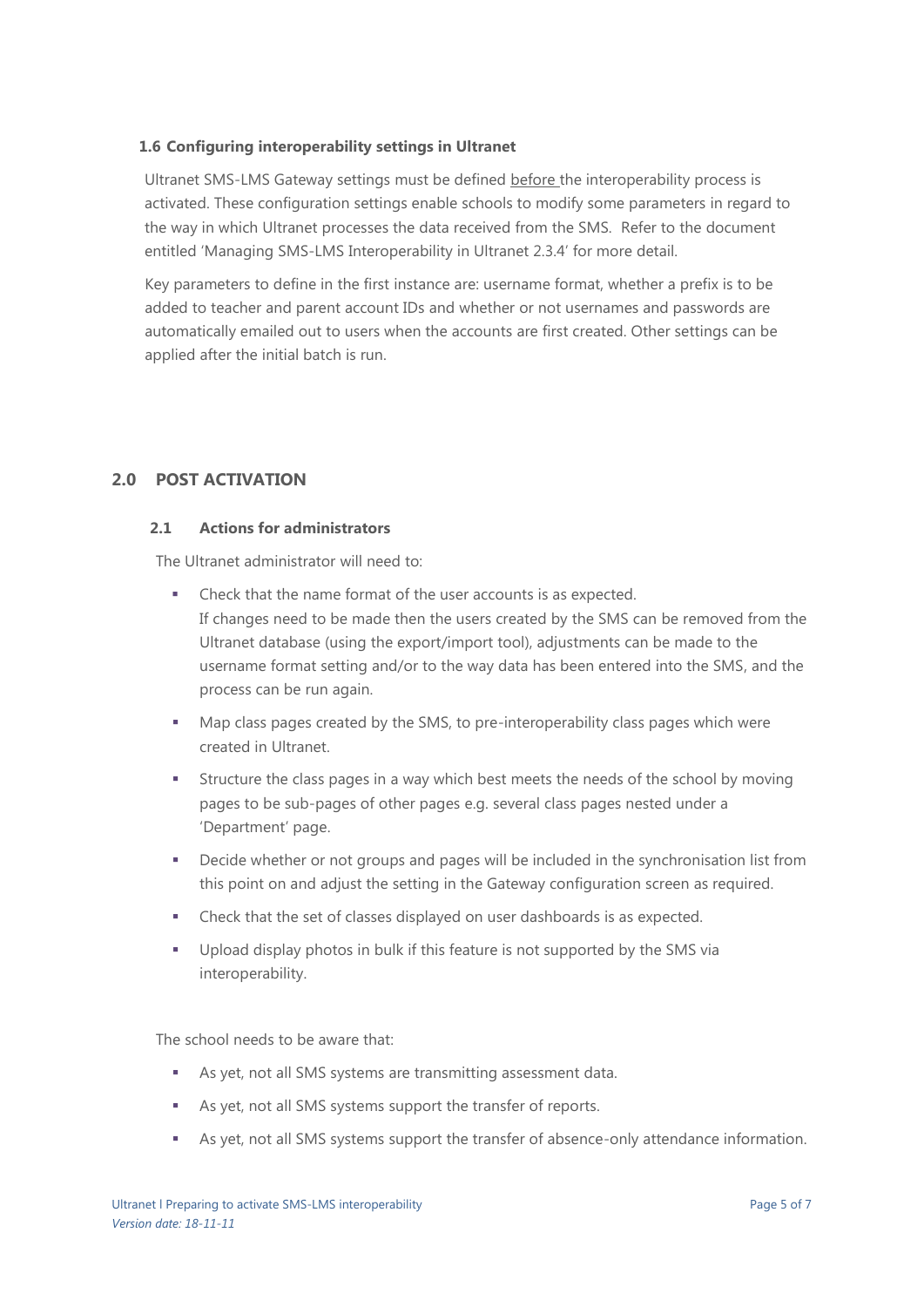#### **1.6 Configuring interoperability settings in Ultranet**

Ultranet SMS-LMS Gateway settings must be defined before the interoperability process is activated. These configuration settings enable schools to modify some parameters in regard to the way in which Ultranet processes the data received from the SMS. Refer to the document entitled 'Managing SMS-LMS Interoperability in Ultranet 2.3.4' for more detail.

Key parameters to define in the first instance are: username format, whether a prefix is to be added to teacher and parent account IDs and whether or not usernames and passwords are automatically emailed out to users when the accounts are first created. Other settings can be applied after the initial batch is run.

# **2.0 POST ACTIVATION**

#### **2.1 Actions for administrators**

The Ultranet administrator will need to:

- Check that the name format of the user accounts is as expected. If changes need to be made then the users created by the SMS can be removed from the Ultranet database (using the export/import tool), adjustments can be made to the username format setting and/or to the way data has been entered into the SMS, and the process can be run again.
- Map class pages created by the SMS, to pre-interoperability class pages which were created in Ultranet.
- Structure the class pages in a way which best meets the needs of the school by moving pages to be sub-pages of other pages e.g. several class pages nested under a 'Department' page.
- **•** Decide whether or not groups and pages will be included in the synchronisation list from this point on and adjust the setting in the Gateway configuration screen as required.
- Check that the set of classes displayed on user dashboards is as expected.
- Upload display photos in bulk if this feature is not supported by the SMS via interoperability.

The school needs to be aware that:

- As yet, not all SMS systems are transmitting assessment data.
- As yet, not all SMS systems support the transfer of reports.
- As yet, not all SMS systems support the transfer of absence-only attendance information.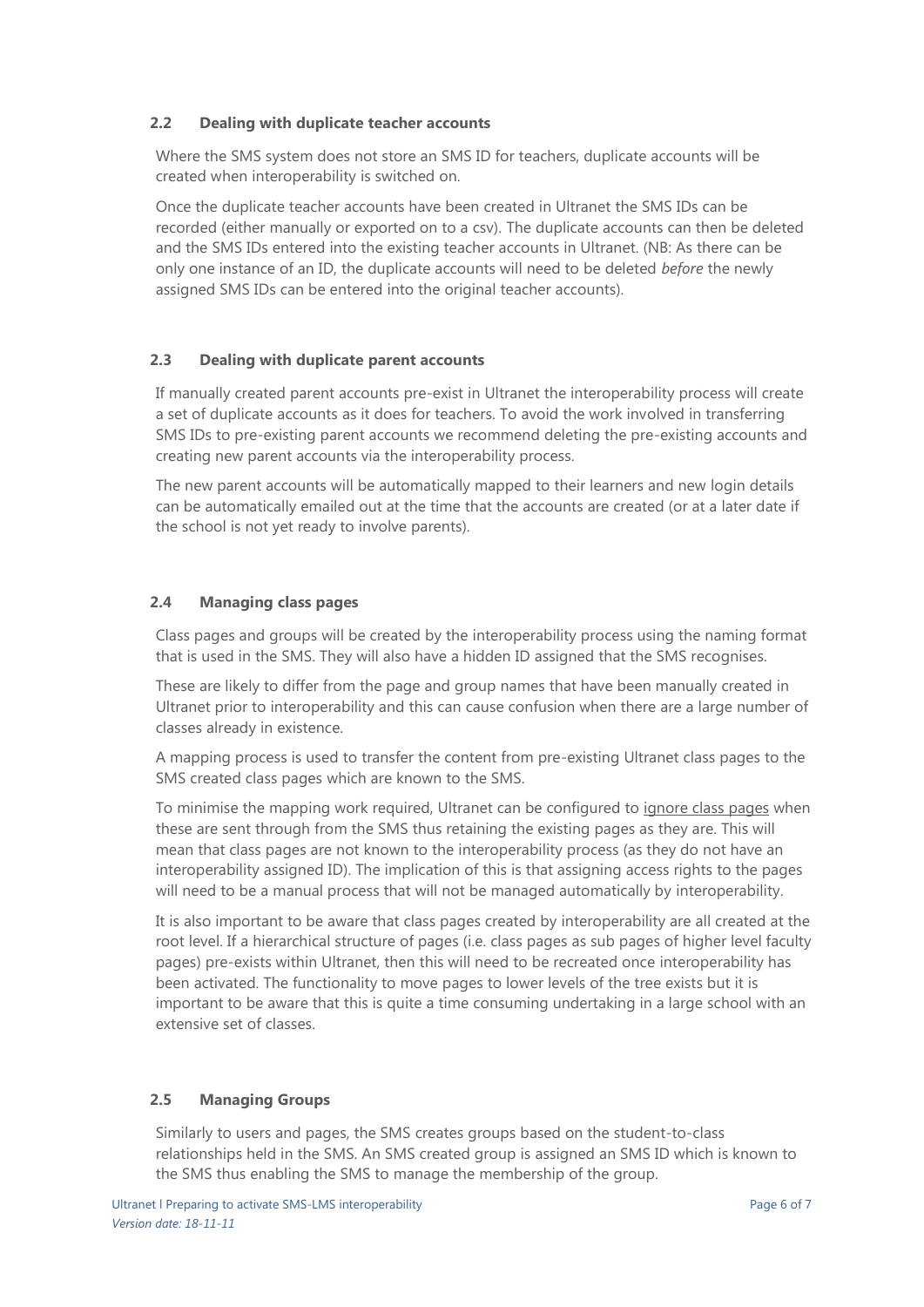#### **2.2 Dealing with duplicate teacher accounts**

Where the SMS system does not store an SMS ID for teachers, duplicate accounts will be created when interoperability is switched on.

Once the duplicate teacher accounts have been created in Ultranet the SMS IDs can be recorded (either manually or exported on to a csv). The duplicate accounts can then be deleted and the SMS IDs entered into the existing teacher accounts in Ultranet. (NB: As there can be only one instance of an ID, the duplicate accounts will need to be deleted *before* the newly assigned SMS IDs can be entered into the original teacher accounts).

# **2.3 Dealing with duplicate parent accounts**

If manually created parent accounts pre-exist in Ultranet the interoperability process will create a set of duplicate accounts as it does for teachers. To avoid the work involved in transferring SMS IDs to pre-existing parent accounts we recommend deleting the pre-existing accounts and creating new parent accounts via the interoperability process.

The new parent accounts will be automatically mapped to their learners and new login details can be automatically emailed out at the time that the accounts are created (or at a later date if the school is not yet ready to involve parents).

# **2.4 Managing class pages**

Class pages and groups will be created by the interoperability process using the naming format that is used in the SMS. They will also have a hidden ID assigned that the SMS recognises.

These are likely to differ from the page and group names that have been manually created in Ultranet prior to interoperability and this can cause confusion when there are a large number of classes already in existence.

A mapping process is used to transfer the content from pre-existing Ultranet class pages to the SMS created class pages which are known to the SMS.

To minimise the mapping work required, Ultranet can be configured to ignore class pages when these are sent through from the SMS thus retaining the existing pages as they are. This will mean that class pages are not known to the interoperability process (as they do not have an interoperability assigned ID). The implication of this is that assigning access rights to the pages will need to be a manual process that will not be managed automatically by interoperability.

It is also important to be aware that class pages created by interoperability are all created at the root level. If a hierarchical structure of pages (i.e. class pages as sub pages of higher level faculty pages) pre-exists within Ultranet, then this will need to be recreated once interoperability has been activated. The functionality to move pages to lower levels of the tree exists but it is important to be aware that this is quite a time consuming undertaking in a large school with an extensive set of classes.

# **2.5 Managing Groups**

Similarly to users and pages, the SMS creates groups based on the student-to-class relationships held in the SMS. An SMS created group is assigned an SMS ID which is known to the SMS thus enabling the SMS to manage the membership of the group.